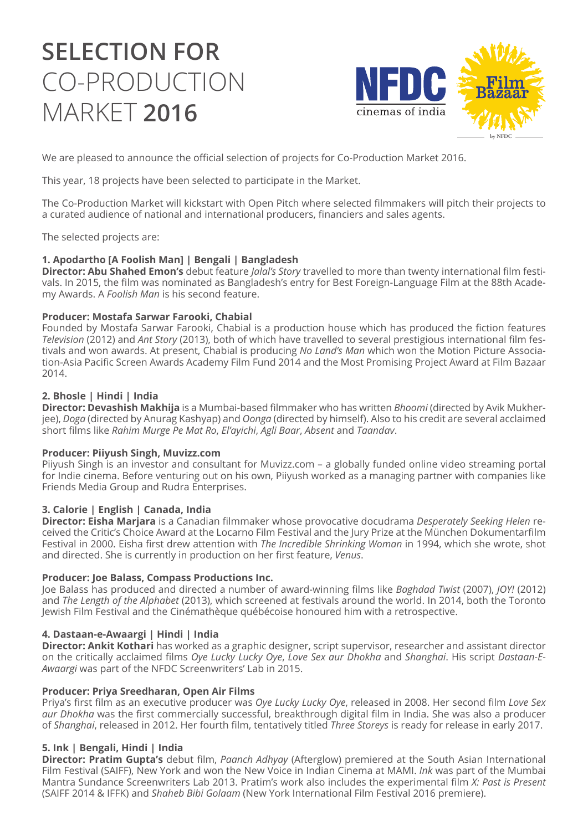# **SELECTION FOR**  CO-PRODUCTION MARKET **2016**



We are pleased to announce the official selection of projects for Co-Production Market 2016.

This year, 18 projects have been selected to participate in the Market.

The Co-Production Market will kickstart with Open Pitch where selected filmmakers will pitch their projects to a curated audience of national and international producers, financiers and sales agents.

The selected projects are:

# **1. Apodartho [A Foolish Man] | Bengali | Bangladesh**

**Director: Abu Shahed Emon's** debut feature *Jalal's Story* travelled to more than twenty international film festivals. In 2015, the film was nominated as Bangladesh's entry for Best Foreign-Language Film at the 88th Academy Awards. A *Foolish Man* is his second feature.

## **Producer: Mostafa Sarwar Farooki, Chabial**

Founded by Mostafa Sarwar Farooki, Chabial is a production house which has produced the fiction features *Television* (2012) and *Ant Story* (2013), both of which have travelled to several prestigious international film festivals and won awards. At present, Chabial is producing *No Land's Man* which won the Motion Picture Association-Asia Pacific Screen Awards Academy Film Fund 2014 and the Most Promising Project Award at Film Bazaar 2014.

## **2. Bhosle | Hindi | India**

**Director: Devashish Makhija** is a Mumbai-based filmmaker who has written *Bhoomi* (directed by Avik Mukherjee), *Doga* (directed by Anurag Kashyap) and *Oonga* (directed by himself). Also to his credit are several acclaimed short films like *Rahim Murge Pe Mat Ro*, *El'ayichi*, *Agli Baar*, *Absent* and *Taandav*.

## **Producer: Piiyush Singh, Muvizz.com**

Piiyush Singh is an investor and consultant for Muvizz.com – a globally funded online video streaming portal for Indie cinema. Before venturing out on his own, Piiyush worked as a managing partner with companies like Friends Media Group and Rudra Enterprises.

# **3. Calorie | English | Canada, India**

**Director: Eisha Marjara** is a Canadian filmmaker whose provocative docudrama *Desperately Seeking Helen* received the Critic's Choice Award at the Locarno Film Festival and the Jury Prize at the München Dokumentarfilm Festival in 2000. Eisha first drew attention with *The Incredible Shrinking Woman* in 1994, which she wrote, shot and directed. She is currently in production on her first feature, *Venus*.

## **Producer: Joe Balass, Compass Productions Inc.**

Joe Balass has produced and directed a number of award-winning films like *Baghdad Twist* (2007), *JOY!* (2012) and *The Length of the Alphabet* (2013), which screened at festivals around the world. In 2014, both the Toronto Jewish Film Festival and the Cinémathèque québécoise honoured him with a retrospective.

# **4. Dastaan-e-Awaargi | Hindi | India**

**Director: Ankit Kothari** has worked as a graphic designer, script supervisor, researcher and assistant director on the critically acclaimed films *Oye Lucky Lucky Oye*, *Love Sex aur Dhokha* and *Shanghai*. His script *Dastaan-E-Awaargi* was part of the NFDC Screenwriters' Lab in 2015.

## **Producer: Priya Sreedharan, Open Air Films**

Priya's first film as an executive producer was *Oye Lucky Lucky Oye*, released in 2008. Her second film *Love Sex aur Dhokha* was the first commercially successful, breakthrough digital film in India. She was also a producer of *Shanghai*, released in 2012. Her fourth film, tentatively titled *Three Storeys* is ready for release in early 2017.

# **5. Ink | Bengali, Hindi | India**

**Director: Pratim Gupta's** debut film, *Paanch Adhyay* (Afterglow) premiered at the South Asian International Film Festival (SAIFF), New York and won the New Voice in Indian Cinema at MAMI. *Ink* was part of the Mumbai Mantra Sundance Screenwriters Lab 2013. Pratim's work also includes the experimental film *X: Past is Present* (SAIFF 2014 & IFFK) and *Shaheb Bibi Golaam* (New York International Film Festival 2016 premiere).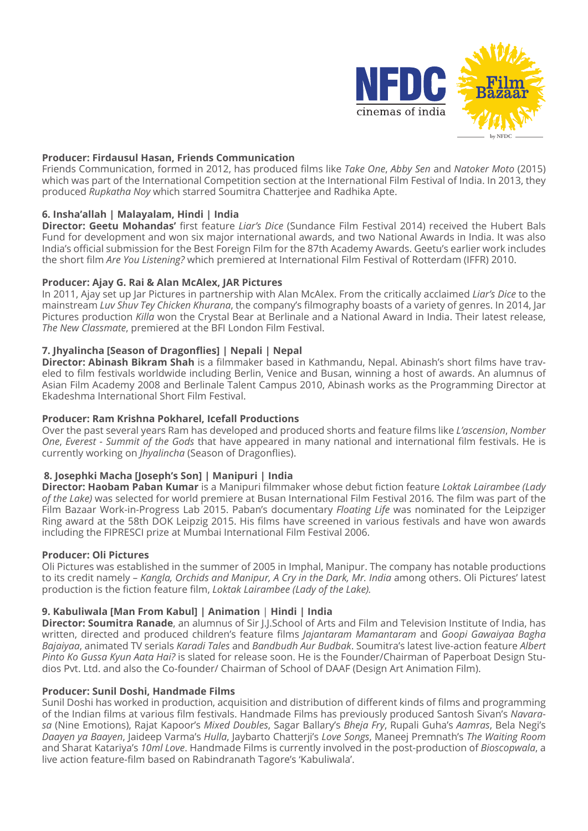

## **Producer: Firdausul Hasan, Friends Communication**

Friends Communication, formed in 2012, has produced films like *Take One*, *Abby Sen* and *Natoker Moto* (2015) which was part of the International Competition section at the International Film Festival of India. In 2013, they produced *Rupkatha Noy* which starred Soumitra Chatterjee and Radhika Apte.

## **6. Insha'allah | Malayalam, Hindi | India**

**Director: Geetu Mohandas'** first feature *Liar's Dice* (Sundance Film Festival 2014) received the Hubert Bals Fund for development and won six major international awards, and two National Awards in India. It was also India's official submission for the Best Foreign Film for the 87th Academy Awards. Geetu's earlier work includes the short film *Are You Listening?* which premiered at International Film Festival of Rotterdam (IFFR) 2010.

#### **Producer: Ajay G. Rai & Alan McAlex, JAR Pictures**

In 2011, Ajay set up Jar Pictures in partnership with Alan McAlex. From the critically acclaimed *Liar's Dice* to the mainstream *Luv Shuv Tey Chicken Khurana*, the company's filmography boasts of a variety of genres. In 2014, Jar Pictures production *Killa* won the Crystal Bear at Berlinale and a National Award in India. Their latest release, *The New Classmate*, premiered at the BFI London Film Festival.

#### **7. Jhyalincha [Season of Dragonflies] | Nepali | Nepal**

**Director: Abinash Bikram Shah** is a filmmaker based in Kathmandu, Nepal. Abinash's short films have traveled to film festivals worldwide including Berlin, Venice and Busan, winning a host of awards. An alumnus of Asian Film Academy 2008 and Berlinale Talent Campus 2010, Abinash works as the Programming Director at Ekadeshma International Short Film Festival.

#### **Producer: Ram Krishna Pokharel, Icefall Productions**

Over the past several years Ram has developed and produced shorts and feature films like *L'ascension*, *Nomber One*, *Everest - Summit of the Gods* that have appeared in many national and international film festivals. He is currently working on *Jhyalincha* (Season of Dragonflies).

## **8. Josephki Macha [Joseph's Son] | Manipuri | India**

**Director: Haobam Paban Kumar** is a Manipuri filmmaker whose debut fiction feature *Loktak Lairambee (Lady of the Lake)* was selected for world premiere at Busan International Film Festival 2016*.* The film was part of the Film Bazaar Work-in-Progress Lab 2015. Paban's documentary *Floating Life* was nominated for the Leipziger Ring award at the 58th DOK Leipzig 2015. His films have screened in various festivals and have won awards including the FIPRESCI prize at Mumbai International Film Festival 2006.

#### **Producer: Oli Pictures**

Oli Pictures was established in the summer of 2005 in Imphal, Manipur. The company has notable productions to its credit namely – *Kangla, Orchids and Manipur, A Cry in the Dark, Mr. India* among others. Oli Pictures' latest production is the fiction feature film, *Loktak Lairambee (Lady of the Lake).* 

## **9. Kabuliwala [Man From Kabul] | Animation** | **Hindi | India**

**Director: Soumitra Ranade**, an alumnus of Sir J.J.School of Arts and Film and Television Institute of India, has written, directed and produced children's feature films *Jajantaram Mamantaram* and *Goopi Gawaiyaa Bagha Bajaiyaa*, animated TV serials *Karadi Tales* and *Bandbudh Aur Budbak*. Soumitra's latest live-action feature *Albert Pinto Ko Gussa Kyun Aata Hai?* is slated for release soon. He is the Founder/Chairman of Paperboat Design Studios Pvt. Ltd. and also the Co-founder/ Chairman of School of DAAF (Design Art Animation Film).

#### **Producer: Sunil Doshi, Handmade Films**

Sunil Doshi has worked in production, acquisition and distribution of different kinds of films and programming of the Indian films at various film festivals. Handmade Films has previously produced Santosh Sivan's *Navarasa* (Nine Emotions), Rajat Kapoor's *Mixed Doubles*, Sagar Ballary's *Bheja Fry*, Rupali Guha's *Aamras*, Bela Negi's *Daayen ya Baayen*, Jaideep Varma's *Hulla*, Jaybarto Chatterji's *Love Songs*, Maneej Premnath's *The Waiting Room* and Sharat Katariya's *10ml Love*. Handmade Films is currently involved in the post-production of *Bioscopwala*, a live action feature-film based on Rabindranath Tagore's 'Kabuliwala'.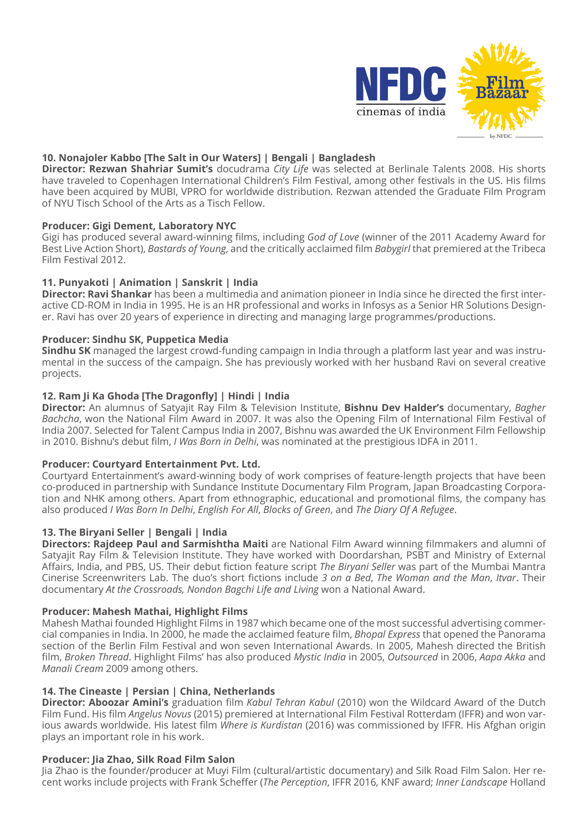

# **10. Nonajoler Kabbo [The Salt in Our Waters] | Bengali | Bangladesh**

**Director: Rezwan Shahriar Sumit's** docudrama *City Life* was selected at Berlinale Talents 2008. His shorts have traveled to Copenhagen International Children's Film Festival, among other festivals in the US. His films have been acquired by MUBI, VPRO for worldwide distribution. Rezwan attended the Graduate Film Program of NYU Tisch School of the Arts as a Tisch Fellow.

# **Producer: Gigi Dement, Laboratory NYC**

Gigi has produced several award-winning films, including *God of Love* (winner of the 2011 Academy Award for Best Live Action Short), *Bastards of Young*, and the critically acclaimed film *Babygirl* that premiered at the Tribeca Film Festival 2012.

## **11. Punyakoti | Animation | Sanskrit | India**

**Director: Ravi Shankar** has been a multimedia and animation pioneer in India since he directed the first interactive CD-ROM in India in 1995. He is an HR professional and works in Infosys as a Senior HR Solutions Designer. Ravi has over 20 years of experience in directing and managing large programmes/productions.

## **Producer: Sindhu SK, Puppetica Media**

**Sindhu SK** managed the largest crowd-funding campaign in India through a platform last year and was instrumental in the success of the campaign. She has previously worked with her husband Ravi on several creative projects.

## **12. Ram Ji Ka Ghoda [The Dragonfly] | Hindi | India**

**Director:** An alumnus of Satyajit Ray Film & Television Institute, **Bishnu Dev Halder's** documentary, *Bagher Bachcha*, won the National Film Award in 2007. It was also the Opening Film of International Film Festival of India 2007. Selected for Talent Campus India in 2007, Bishnu was awarded the UK Environment Film Fellowship in 2010. Bishnu's debut film, *I Was Born in Delhi*, was nominated at the prestigious IDFA in 2011.

## **Producer: Courtyard Entertainment Pvt. Ltd.**

Courtyard Entertainment's award-winning body of work comprises of feature-length projects that have been co-produced in partnership with Sundance Institute Documentary Film Program, Japan Broadcasting Corporation and NHK among others. Apart from ethnographic, educational and promotional films, the company has also produced *I Was Born In Delhi*, *English For All*, *Blocks of Green*, and *The Diary Of A Refugee*.

## **13. The Biryani Seller | Bengali | India**

**Directors: Rajdeep Paul and Sarmishtha Maiti** are National Film Award winning filmmakers and alumni of Satyajit Ray Film & Television Institute. They have worked with Doordarshan, PSBT and Ministry of External Affairs, India, and PBS, US. Their debut fiction feature script *The Biryani Seller* was part of the Mumbai Mantra Cinerise Screenwriters Lab. The duo's short fictions include *3 on a Bed*, *The Woman and the Man*, *Itvar*. Their documentary *At the Crossroads, Nondon Bagchi Life and Living* won a National Award.

## **Producer: Mahesh Mathai, Highlight Films**

Mahesh Mathai founded Highlight Films in 1987 which became one of the most successful advertising commercial companies in India. In 2000, he made the acclaimed feature film, *Bhopal Express* that opened the Panorama section of the Berlin Film Festival and won seven International Awards. In 2005, Mahesh directed the British film, *Broken Thread*. Highlight Films' has also produced *Mystic India* in 2005, *Outsourced* in 2006, *Aapa Akka* and *Manali Cream* 2009 among others.

## **14. The Cineaste | Persian | China, Netherlands**

**Director: Aboozar Amini's** graduation film *Kabul Tehran Kabul* (2010) won the Wildcard Award of the Dutch Film Fund. His film *Angelus Novus* (2015) premiered at International Film Festival Rotterdam (IFFR) and won various awards worldwide. His latest film *Where is Kurdistan* (2016) was commissioned by IFFR. His Afghan origin plays an important role in his work.

## **Producer: Jia Zhao, Silk Road Film Salon**

Jia Zhao is the founder/producer at Muyi Film (cultural/artistic documentary) and Silk Road Film Salon. Her recent works include projects with Frank Scheffer (*The Perception*, IFFR 2016, KNF award; *Inner Landscape* Holland